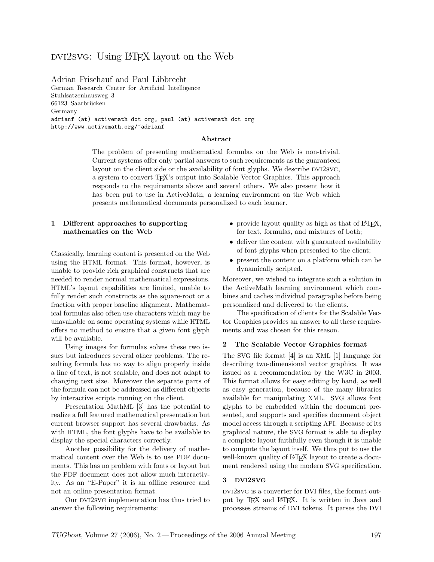# dvi2svg: Using LATEX layout on the Web

Adrian Frischauf and Paul Libbrecht German Research Center for Artificial Intelligence Stuhlsatzenhausweg 3 66123 Saarbrücken Germany adrianf (at) activemath dot org, paul (at) activemath dot org http://www.activemath.org/~adrianf

#### Abstract

The problem of presenting mathematical formulas on the Web is non-trivial. Current systems offer only partial answers to such requirements as the guaranteed layout on the client side or the availability of font glyphs. We describe DVI2SVG, a system to convert TEX's output into Scalable Vector Graphics. This approach responds to the requirements above and several others. We also present how it has been put to use in ActiveMath, a learning environment on the Web which presents mathematical documents personalized to each learner.

## 1 Different approaches to supporting mathematics on the Web

Classically, learning content is presented on the Web using the HTML format. This format, however, is unable to provide rich graphical constructs that are needed to render normal mathematical expressions. HTML's layout capabilities are limited, unable to fully render such constructs as the square-root or a fraction with proper baseline alignment. Mathematical formulas also often use characters which may be unavailable on some operating systems while HTML offers no method to ensure that a given font glyph will be available.

Using images for formulas solves these two issues but introduces several other problems. The resulting formula has no way to align properly inside a line of text, is not scalable, and does not adapt to changing text size. Moreover the separate parts of the formula can not be addressed as different objects by interactive scripts running on the client.

Presentation MathML [\[3\]](#page-3-0) has the potential to realize a full featured mathematical presentation but current browser support has several drawbacks. As with HTML, the font glyphs have to be available to display the special characters correctly.

Another possibility for the delivery of mathematical content over the Web is to use PDF documents. This has no problem with fonts or layout but the PDF document does not allow much interactivity. As an "E-Paper" it is an offline resource and not an online presentation format.

Our DVI2SVG implementation has thus tried to answer the following requirements:

- provide layout quality as high as that of  $\mathbb{F} F[X]$ , for text, formulas, and mixtures of both;
- deliver the content with guaranteed availability of font glyphs when presented to the client;
- present the content on a platform which can be dynamically scripted.

Moreover, we wished to integrate such a solution in the ActiveMath learning environment which combines and caches individual paragraphs before being personalized and delivered to the clients.

The specification of clients for the Scalable Vector Graphics provides an answer to all these requirements and was chosen for this reason.

#### 2 The Scalable Vector Graphics format

The SVG file format [\[4\]](#page-3-1) is an XML [\[1\]](#page-3-2) language for describing two-dimensional vector graphics. It was issued as a recommendation by the W3C in 2003. This format allows for easy editing by hand, as well as easy generation, because of the many libraries available for manipulating XML. SVG allows font glyphs to be embedded within the document presented, and supports and specifies document object model access through a scripting API. Because of its graphical nature, the SVG format is able to display a complete layout faithfully even though it is unable to compute the layout itself. We thus put to use the well-known quality of LATEX layout to create a document rendered using the modern SVG specification.

### 3 DVI2SVG

DVI2SVG is a converter for DVI files, the format output by T<sub>EX</sub> and LAT<sub>EX</sub>. It is written in Java and processes streams of DVI tokens. It parses the DVI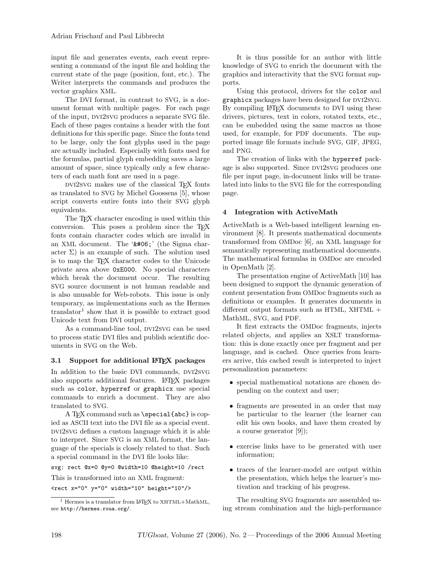input file and generates events, each event representing a command of the input file and holding the current state of the page (position, font, etc.). The Writer interprets the commands and produces the vector graphics XML.

The DVI format, in contrast to SVG, is a document format with multiple pages. For each page of the input, DVI2SVG produces a separate SVG file. Each of these pages contains a header with the font definitions for this specific page. Since the fonts tend to be large, only the font glyphs used in the page are actually included. Especially with fonts used for the formulas, partial glyph embedding saves a large amount of space, since typically only a few characters of each math font are used in a page.

dvi2svg makes use of the classical TEX fonts as translated to SVG by Michel Goossens [\[5\]](#page-4-0), whose script converts entire fonts into their SVG glyph equivalents.

The TEX character encoding is used within this conversion. This poses a problem since the TEX fonts contain character codes which are invalid in an XML document. The '' (the Sigma character  $\Sigma$ ) is an example of such. The solution used is to map the TEX character codes to the Unicode private area above 0xE000. No special characters which break the document occur. The resulting SVG source document is not human readable and is also unusable for Web-robots. This issue is only temporary, as implementations such as the Hermes translator<sup>[1](#page-1-0)</sup> show that it is possible to extract good Unicode text from DVI output.

As a command-line tool, DVI2SVG can be used to process static DVI files and publish scientific documents in SVG on the Web.

# 3.1 Support for additional L<sup>AT</sup>EX packages

In addition to the basic DVI commands, DVI2SVG also supports additional features. LATEX packages such as color, hyperref or graphicx use special commands to enrich a document. They are also translated to SVG.

A TEX command such as \special{abc} is copied as ASCII text into the DVI file as a special event. dvi2svg defines a custom language which it is able to interpret. Since SVG is an XML format, the language of the specials is closely related to that. Such a special command in the DVI file looks like:

svg: rect @x=0 @y=0 @width=10 @height=10 /rect

This is transformed into an XML fragment:

 $\text{erct } x = "0" y = "0" width=" 10" height=" 10"$ 

It is thus possible for an author with little knowledge of SVG to enrich the document with the graphics and interactivity that the SVG format supports.

Using this protocol, drivers for the color and graphicx packages have been designed for DVI2SVG. By compiling LAT<sub>EX</sub> documents to DVI using these drivers, pictures, text in colors, rotated texts, etc., can be embedded using the same macros as those used, for example, for PDF documents. The supported image file formats include SVG, GIF, JPEG, and PNG.

The creation of links with the hyperref package is also supported. Since DVI2SVG produces one file per input page, in-document links will be translated into links to the SVG file for the corresponding page.

# 4 Integration with ActiveMath

ActiveMath is a Web-based intelligent learning environment [\[8\]](#page-4-1). It presents mathematical documents transformed from OMDoc [\[6\]](#page-4-2), an XML language for semantically representing mathematical documents. The mathematical formulas in OMDoc are encoded in OpenMath [\[2\]](#page-3-3).

The presentation engine of ActiveMath [\[10\]](#page-4-3) has been designed to support the dynamic generation of content presentation from OMDoc fragments such as definitions or examples. It generates documents in different output formats such as  $HTML$ ,  $XHTML$  + MathML, SVG, and PDF.

It first extracts the OMDoc fragments, injects related objects, and applies an XSLT transformation: this is done exactly once per fragment and per language, and is cached. Once queries from learners arrive, this cached result is interpreted to inject personalization parameters:

- special mathematical notations are chosen depending on the context and user;
- fragments are presented in an order that may be particular to the learner (the learner can edit his own books, and have them created by a course generator [\[9\]](#page-4-4));
- exercise links have to be generated with user information;
- traces of the learner-model are output within the presentation, which helps the learner's motivation and tracking of his progress.

The resulting SVG fragments are assembled using stream combination and the high-performance

<span id="page-1-0"></span> $1$  Hermes is a translator from LATFX to XHTML+MathML, see <http://hermes.roua.org/>.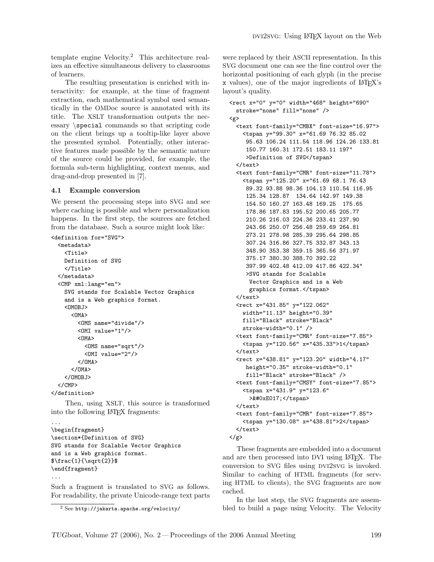template engine Velocity.[2](#page-2-0) This architecture realizes an effective simultaneous delivery to classrooms of learners.

The resulting presentation is enriched with interactivity: for example, at the time of fragment extraction, each mathematical symbol used semantically in the OMDoc source is annotated with its title. The XSLT transformation outputs the necessary \special commands so that scripting code on the client brings up a tooltip-like layer above the presented symbol. Potentially, other interactive features made possible by the semantic nature of the source could be provided, for example, the formula sub-term highlighting, context menus, and drag-and-drop presented in [\[7\]](#page-4-5).

### 4.1 Example conversion

We present the processing steps into SVG and see where caching is possible and where personalization happens. In the first step, the sources are fetched from the database. Such a source might look like:

```
<definition for="SVG">
  <metadata>
    \langleTitle\rangleDefinition of SVG
    </Title>
  </metadata>
  <CMP xml:lang="en">
    SVG stands for Scalable Vector Graphics
    and is a Web graphics format.
    <OMOBJ>
      <OMA><OMS name="divide"/>
        <OMI value="1"/>
        <
M_A<OMS name="sqrt"/>
          <OMI value="2"/>
        </OMA>
      </OMA>
    </OMOBJ>
  </CMP>
</definition>
```
Then, using XSLT, this source is transformed into the following LATEX fragments:

```
...
\begin{fragment}
\section*{Definition of SVG}
SVG stands for Scalable Vector Graphics
and is a Web graphics format.
$\frac{1}{\sqrt{2}}$
\end{fragment}
```

```
...
```
Such a fragment is translated to SVG as follows. For readability, the private Unicode-range text parts

were replaced by their ASCII representation. In this SVG document one can see the fine control over the horizontal positioning of each glyph (in the precise x values), one of the major ingredients of LAT<sub>EX</sub>'s layout's quality.

```
<rect x="0" y="0" width="468" height="690"
 stroke="none" fill="none" />
<g>
 <text font-family="CMBX" font-size="16.97">
    <tspan y="99.30" x="61.69 76.32 85.02
     95.63 106.24 111.54 118.96 124.26 133.81
     150.77 160.31 172.51 183.11 197"
     >Definition of SVG</tspan>
 </text>
 <text font-family="CMR" font-size="11.78">
    <tspan y="125.20" x="61.69 68.1 76.43
     89.32 93.88 98.36 104.13 110.54 116.95
     125.34 128.87 134.64 142.97 149.38
     154.50 160.27 163.48 169.25 175.65
     178.86 187.83 195.52 200.65 205.77
     210.26 216.03 224.36 233.41 237.90
     243.66 250.07 256.48 259.69 264.81
     273.21 278.98 285.39 295.64 298.85
     307.24 316.86 327.75 332.87 343.13
     348.90 353.38 359.15 365.56 371.97
     375.17 380.30 388.70 392.22
     397.99 402.48 412.09 417.86 422.34"
     >SVG stands for Scalable
      Vector Graphics and is a Web
      graphics format.</tspan>
 \langle/text>
 <rect x="431.85" y="122.062"
   width="11.13" height="0.39"
   fill="Black" stroke="Black"
   stroke-width="0.1" />
 <text font-family="CMR" font-size="7.85">
   <tspan y="120.56" x="435.33">1</tspan>
 </text>
 <rect x="438.81" y="123.20" width="4.17"
     height="0.35" stroke-width="0.1"
     fill="Black" stroke="Black" />
 <text font-family="CMSY" font-size="7.85">
    <tspan x="431.9" y="123.6"
      >&#0xE017;</tspan>
 </text>
 <text font-family="CMR" font-size="7.85">
   <tspan y="130.08" x="438.81">2</tspan>
 \langle/text>
\langle/g>
```
These fragments are embedded into a document and are then processed into DVI using LATEX. The conversion to SVG files using DVI2SVG is invoked. Similar to caching of HTML fragments (for serving HTML to clients), the SVG fragments are now cached.

In the last step, the SVG fragments are assembled to build a page using Velocity. The Velocity

<span id="page-2-0"></span><sup>2</sup> See <http://jakarta.apache.org/velocity/>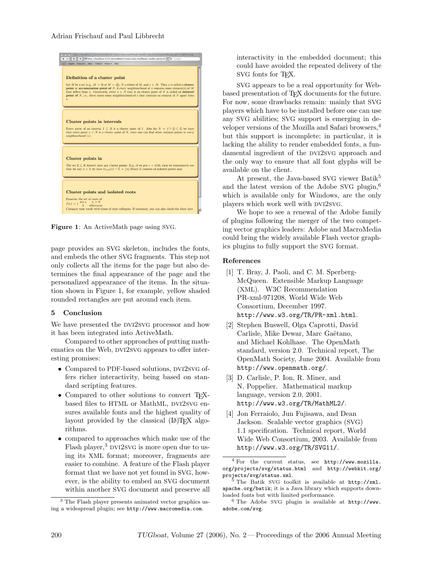

Figure 1: An ActiveMath page using SVG.

page provides an SVG skeleton, includes the fonts, and embeds the other SVG fragments. This step not only collects all the items for the page but also determines the final appearance of the page and the personalized appearance of the items. In the situation shown in Figure 1, for example, yellow shaded rounded rectangles are put around each item.

### 5 Conclusion

We have presented the DVI2SVG processor and how it has been integrated into ActiveMath.

Compared to other approaches of putting mathematics on the Web, DVI2SVG appears to offer interesting promises:

- Compared to PDF-based solutions, DVI2SVG offers richer interactivity, being based on standard scripting features.
- Compared to other solutions to convert T<sub>EX</sub>based files to HTML or MathML, DVI2SVG ensures available fonts and the highest quality of layout provided by the classical  $(\Delta)$ T<sub>E</sub>X algorithms.
- compared to approaches which make use of the Flash player,<sup>[3](#page-3-4)</sup> DVI2SVG is more open due to using its XML format; moreover, fragments are easier to combine. A feature of the Flash player format that we have not yet found in SVG, however, is the ability to embed an SVG document within another SVG document and preserve all

interactivity in the embedded document; this could have avoided the repeated delivery of the SVG fonts for TEX.

SVG appears to be a real opportunity for Webbased presentation of TFX documents for the future. For now, some drawbacks remain: mainly that SVG players which have to be installed before one can use any SVG abilities; SVG support is emerging in developer versions of the Mozilla and Safari browsers,[4](#page-3-5) but this support is incomplete; in particular, it is lacking the ability to render embedded fonts, a fundamental ingredient of the DVI2SVG approach and the only way to ensure that all font glyphs will be available on the client.

At present, the Java-based SVG viewer Batik<sup>[5](#page-3-6)</sup> and the latest version of the Adobe SVG plugin,<sup>[6](#page-3-7)</sup> which is available only for Windows, are the only players which work well with DVI2SVG.

We hope to see a renewal of the Adobe family of plugins following the merger of the two competing vector graphics leaders: Adobe and MacroMedia could bring the widely available Flash vector graphics plugins to fully support the SVG format.

## References

- <span id="page-3-2"></span>[1] T. Bray, J. Paoli, and C. M. Sperberg-McQueen. Extensible Markup Language (XML). W3C Recommendation PR-xml-971208, World Wide Web Consortium, December 1997. <http://www.w3.org/TR/PR-xml.html>.
- <span id="page-3-3"></span>[2] Stephen Buswell, Olga Caprotti, David Carlisle, Mike Dewar, Marc Gaëtano, and Michael Kohlhase. The OpenMath standard, version 2.0. Technical report, The OpenMath Society, June 2004. Available from <http://www.openmath.org/>.
- <span id="page-3-0"></span>[3] D. Carlisle, P. Ion, R. Miner, and N. Poppelier. Mathematical markup language, version 2.0, 2001. <http://www.w3.org/TR/MathML2/>.
- <span id="page-3-1"></span>[4] Jon Ferraiolo, Jun Fujisawa, and Dean Jackson. Scalable vector graphics (SVG) 1.1 specification. Technical report, World Wide Web Consortium, 2003. Available from <http://www.w3.org/TR/SVG11/>.

<span id="page-3-4"></span><sup>3</sup> The Flash player presents animated vector graphics using a widespread plugin; see <http://www.macromedia.com>.

<span id="page-3-5"></span><sup>4</sup> For the current status, see [http://www.mozilla.](http://www.mozilla.org/projects/svg/status.html) [org/projects/svg/status.html](http://www.mozilla.org/projects/svg/status.html) and [http://webkit.org/](http://webkit.org/projects/svg/status.xml) [projects/svg/status.xml](http://webkit.org/projects/svg/status.xml).

<span id="page-3-6"></span> $5$  The Batik SVG toolkit is available at [http://xml.](http://xml.apache.org/batik) [apache.org/batik](http://xml.apache.org/batik); it is a Java library which supports downloaded fonts but with limited performance.

<span id="page-3-7"></span> $6$  The Adobe SVG plugin is available at [http://www.](http://www.adobe.com/svg) [adobe.com/svg](http://www.adobe.com/svg).